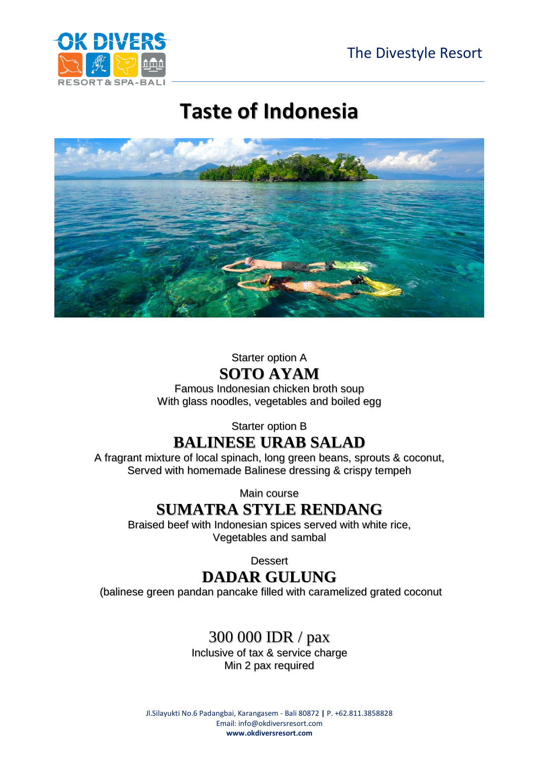

## **Taste of Indonesia**



#### Starter option A **SOTO AYAM**

Famous Indonesian chicken broth soup With glass noodles, vegetables and boiled egg

#### Starter option B **BALINESE URAB SALAD**

A fragrant mixture of local spinach, long green beans, sprouts & coconut, Served with homemade Balinese dressing & crispy tempeh

Main course

## **SUMATRA STYLE RENDANG**

Braised beef with Indonesian spices served with white rice, Vegetables and sambal

**Dessert** 

## **DADAR GULUNG**

(balinese green pandan pancake filled with caramelized grated coconut

#### 300 000 IDR / pax

Inclusive of tax & service charge Min 2 pax required

Jl.Silayukti No.6 Padangbai, Karangasem - Bali 80872 **|** P. +62.811.3858828 Email[: info@okdiversresort.com](mailto:info@okdiversresort.com) **www.okdiversresort.com**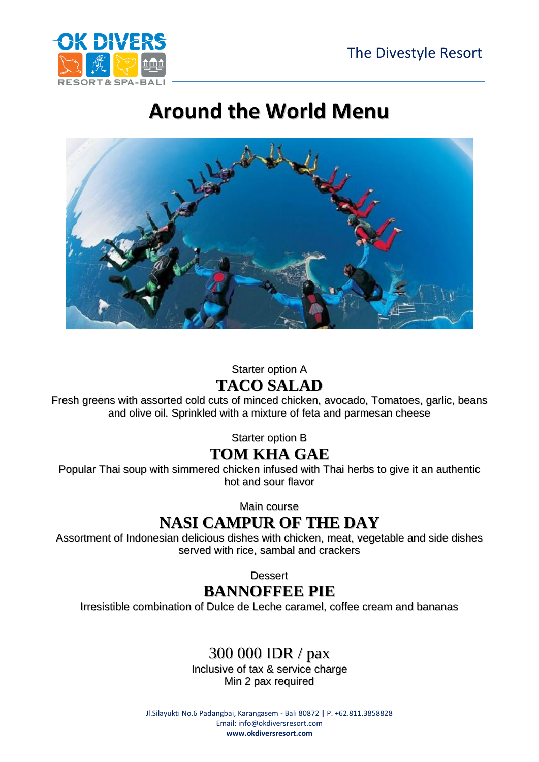

## **Around the World Menu**



### Starter option A

#### **TACO SALAD**

Fresh greens with assorted cold cuts of minced chicken, avocado, Tomatoes, garlic, beans and olive oil. Sprinkled with a mixture of feta and parmesan cheese

Starter option B

#### **TOM KHA GAE**

Popular Thai soup with simmered chicken infused with Thai herbs to give it an authentic hot and sour flavor

Main course

#### **NASI CAMPUR OF THE DAY**

Assortment of Indonesian delicious dishes with chicken, meat, vegetable and side dishes served with rice, sambal and crackers

**Dessert** 

## **BANNOFFEE PIE**

Irresistible combination of Dulce de Leche caramel, coffee cream and bananas

## 300 000 IDR / pax

Inclusive of tax & service charge Min 2 pax required

Jl.Silayukti No.6 Padangbai, Karangasem - Bali 80872 **|** P. +62.811.3858828 Email[: info@okdiversresort.com](mailto:info@okdiversresort.com) **www.okdiversresort.com**